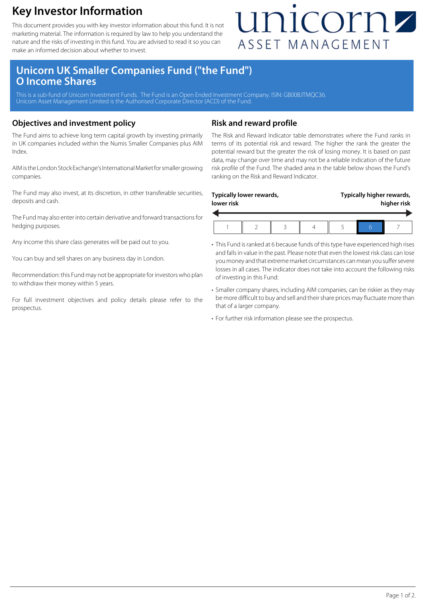### **Key Investor Information**

This document provides you with key investor information about this fund. It is not marketing material. The information is required by law to help you understand the nature and the risks of investing in this fund. You are advised to read it so you can make an informed decision about whether to invest.

## unicornz ASSET MANAGEMENT

### **Unicorn UK Smaller Companies Fund ("the Fund") O Income Shares**

This is a sub-fund of Unicorn Investment Funds. The Fund is an Open Ended Investment Company. ISIN: GB00BJTMQC36. Unicorn Asset Management Limited is the Authorised Corporate Director (ACD) of the Fund.

#### **Objectives and investment policy**

The Fund aims to achieve long term capital growth by investing primarily in UK companies included within the Numis Smaller Companies plus AIM Index.

AIM is the London Stock Exchange's International Market for smaller growing companies.

The Fund may also invest, at its discretion, in other transferable securities, deposits and cash.

The Fund may also enter into certain derivative and forward transactions for hedging purposes.

Any income this share class generates will be paid out to you.

You can buy and sell shares on any business day in London.

Recommendation: this Fund may not be appropriate for investors who plan to withdraw their money within 5 years.

For full investment objectives and policy details please refer to the prospectus.

#### **Risk and reward profile**

The Risk and Reward Indicator table demonstrates where the Fund ranks in terms of its potential risk and reward. The higher the rank the greater the potential reward but the greater the risk of losing money. It is based on past data, may change over time and may not be a reliable indication of the future risk profile of the Fund. The shaded area in the table below shows the Fund's ranking on the Risk and Reward Indicator.

| Typically lower rewards, |  |  |  | Typically higher rewards, |  |  |
|--------------------------|--|--|--|---------------------------|--|--|
| lower risk               |  |  |  | higher risk               |  |  |
|                          |  |  |  |                           |  |  |

- This Fund is ranked at 6 because funds of this type have experienced high rises and falls in value in the past. Please note that even the lowest risk class can lose you money and that extreme market circumstances can mean you suffer severe losses in all cases. The indicator does not take into account the following risks of investing in this Fund:
- Smaller company shares, including AIM companies, can be riskier as they may be more difficult to buy and sell and their share prices may fluctuate more than that of a larger company.
- For further risk information please see the prospectus.